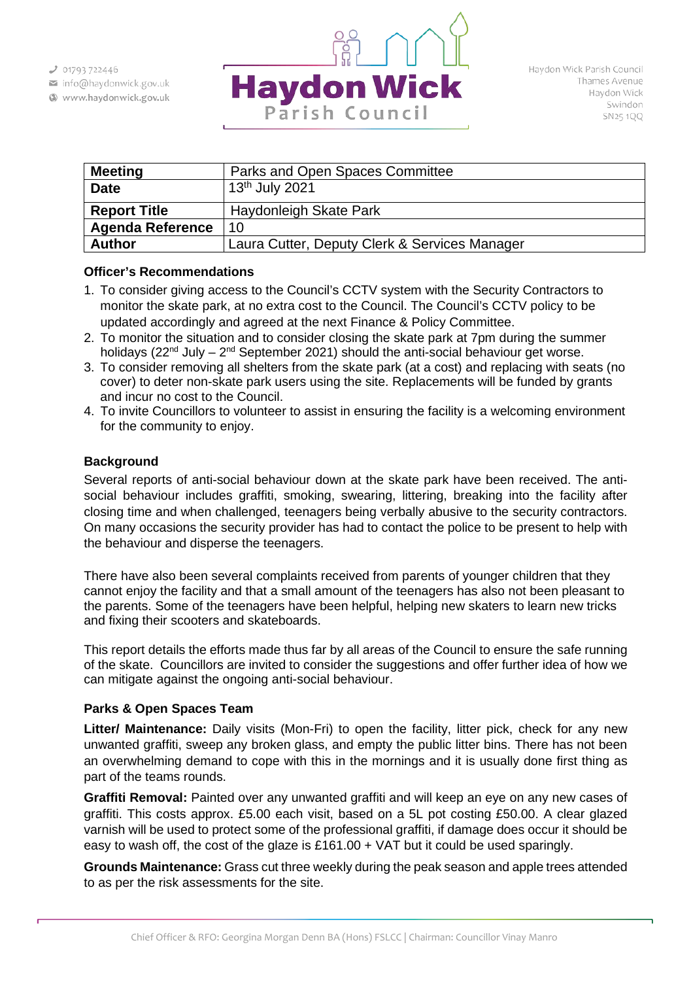$301793722446$ 

- info@haydonwick.gov.uk
- Www.haydonwick.gov.uk



| <b>Meeting</b>          | Parks and Open Spaces Committee               |
|-------------------------|-----------------------------------------------|
| <b>Date</b>             | 13th July 2021                                |
| <b>Report Title</b>     | Haydonleigh Skate Park                        |
| <b>Agenda Reference</b> | 10                                            |
| <b>Author</b>           | Laura Cutter, Deputy Clerk & Services Manager |

## **Officer's Recommendations**

- 1. To consider giving access to the Council's CCTV system with the Security Contractors to monitor the skate park, at no extra cost to the Council. The Council's CCTV policy to be updated accordingly and agreed at the next Finance & Policy Committee.
- 2. To monitor the situation and to consider closing the skate park at 7pm during the summer holidays ( $22<sup>nd</sup>$  July –  $2<sup>nd</sup>$  September 2021) should the anti-social behaviour get worse.
- 3. To consider removing all shelters from the skate park (at a cost) and replacing with seats (no cover) to deter non-skate park users using the site. Replacements will be funded by grants and incur no cost to the Council.
- 4. To invite Councillors to volunteer to assist in ensuring the facility is a welcoming environment for the community to enjoy.

# **Background**

Several reports of anti-social behaviour down at the skate park have been received. The antisocial behaviour includes graffiti, smoking, swearing, littering, breaking into the facility after closing time and when challenged, teenagers being verbally abusive to the security contractors. On many occasions the security provider has had to contact the police to be present to help with the behaviour and disperse the teenagers.

There have also been several complaints received from parents of younger children that they cannot enjoy the facility and that a small amount of the teenagers has also not been pleasant to the parents. Some of the teenagers have been helpful, helping new skaters to learn new tricks and fixing their scooters and skateboards.

This report details the efforts made thus far by all areas of the Council to ensure the safe running of the skate. Councillors are invited to consider the suggestions and offer further idea of how we can mitigate against the ongoing anti-social behaviour.

# **Parks & Open Spaces Team**

**Litter/ Maintenance:** Daily visits (Mon-Fri) to open the facility, litter pick, check for any new unwanted graffiti, sweep any broken glass, and empty the public litter bins. There has not been an overwhelming demand to cope with this in the mornings and it is usually done first thing as part of the teams rounds.

**Graffiti Removal:** Painted over any unwanted graffiti and will keep an eye on any new cases of graffiti. This costs approx. £5.00 each visit, based on a 5L pot costing £50.00. A clear glazed varnish will be used to protect some of the professional graffiti, if damage does occur it should be easy to wash off, the cost of the glaze is £161.00 + VAT but it could be used sparingly.

**Grounds Maintenance:** Grass cut three weekly during the peak season and apple trees attended to as per the risk assessments for the site.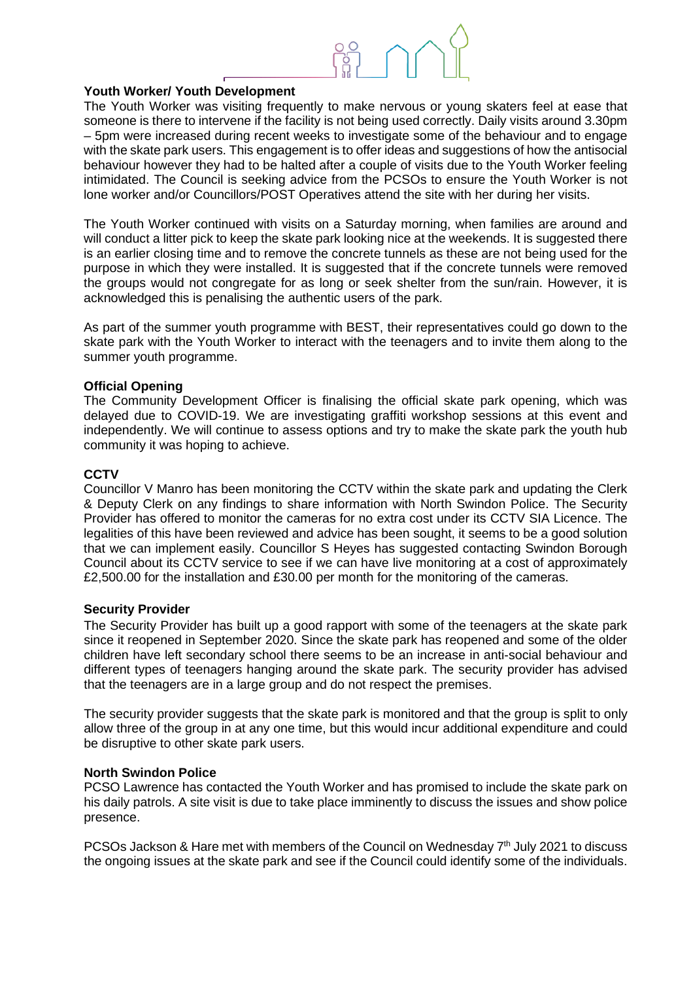

# **Youth Worker/ Youth Development**

The Youth Worker was visiting frequently to make nervous or young skaters feel at ease that someone is there to intervene if the facility is not being used correctly. Daily visits around 3.30pm – 5pm were increased during recent weeks to investigate some of the behaviour and to engage with the skate park users. This engagement is to offer ideas and suggestions of how the antisocial behaviour however they had to be halted after a couple of visits due to the Youth Worker feeling intimidated. The Council is seeking advice from the PCSOs to ensure the Youth Worker is not lone worker and/or Councillors/POST Operatives attend the site with her during her visits.

The Youth Worker continued with visits on a Saturday morning, when families are around and will conduct a litter pick to keep the skate park looking nice at the weekends. It is suggested there is an earlier closing time and to remove the concrete tunnels as these are not being used for the purpose in which they were installed. It is suggested that if the concrete tunnels were removed the groups would not congregate for as long or seek shelter from the sun/rain. However, it is acknowledged this is penalising the authentic users of the park.

As part of the summer youth programme with BEST, their representatives could go down to the skate park with the Youth Worker to interact with the teenagers and to invite them along to the summer youth programme.

## **Official Opening**

The Community Development Officer is finalising the official skate park opening, which was delayed due to COVID-19. We are investigating graffiti workshop sessions at this event and independently. We will continue to assess options and try to make the skate park the youth hub community it was hoping to achieve.

## **CCTV**

Councillor V Manro has been monitoring the CCTV within the skate park and updating the Clerk & Deputy Clerk on any findings to share information with North Swindon Police. The Security Provider has offered to monitor the cameras for no extra cost under its CCTV SIA Licence. The legalities of this have been reviewed and advice has been sought, it seems to be a good solution that we can implement easily. Councillor S Heyes has suggested contacting Swindon Borough Council about its CCTV service to see if we can have live monitoring at a cost of approximately £2,500.00 for the installation and £30.00 per month for the monitoring of the cameras.

#### **Security Provider**

The Security Provider has built up a good rapport with some of the teenagers at the skate park since it reopened in September 2020. Since the skate park has reopened and some of the older children have left secondary school there seems to be an increase in anti-social behaviour and different types of teenagers hanging around the skate park. The security provider has advised that the teenagers are in a large group and do not respect the premises.

The security provider suggests that the skate park is monitored and that the group is split to only allow three of the group in at any one time, but this would incur additional expenditure and could be disruptive to other skate park users.

#### **North Swindon Police**

PCSO Lawrence has contacted the Youth Worker and has promised to include the skate park on his daily patrols. A site visit is due to take place imminently to discuss the issues and show police presence.

PCSOs Jackson & Hare met with members of the Council on Wednesday  $7<sup>th</sup>$  July 2021 to discuss the ongoing issues at the skate park and see if the Council could identify some of the individuals.